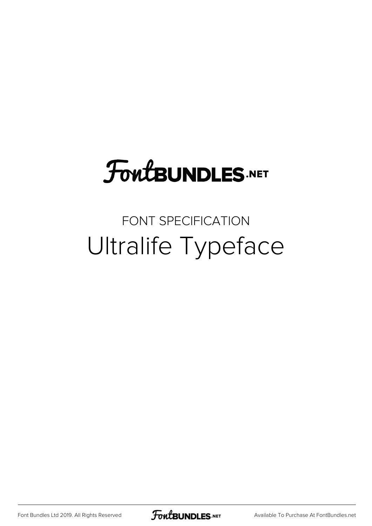## **FoutBUNDLES.NET**

#### FONT SPECIFICATION Ultralife Typeface

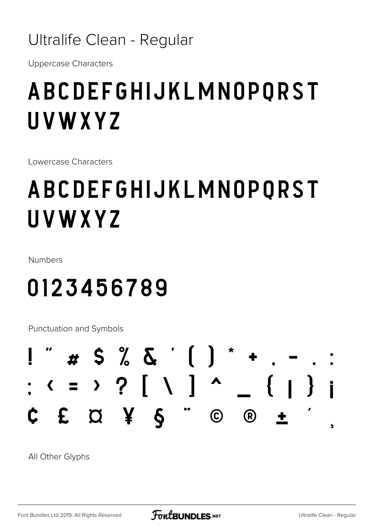#### Ultralife Clean - Regular

**Uppercase Characters** 

### ABCDEFGHIJKLMNOPORST UVWXYZ

Lowercase Characters

## ABCDEFGHIJKLMNOPQRST UVWXYZ

Numbers

### 0123456789

Punctuation and Symbols

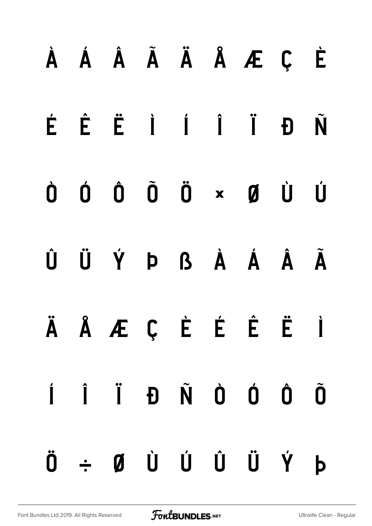# À Á Â Ã Ä Å Æ Ç È É Ê Ë Ì Í Î Ï Ð Ñ Ò Ó Ô Õ Ö × Ø Ù Ú Û Ü Ý Þ ß à á â ã ä å æ ç è é ê ë ì í î ï ð ñ ò ó ô õ ö ÷ ø ù ú û ü ý þ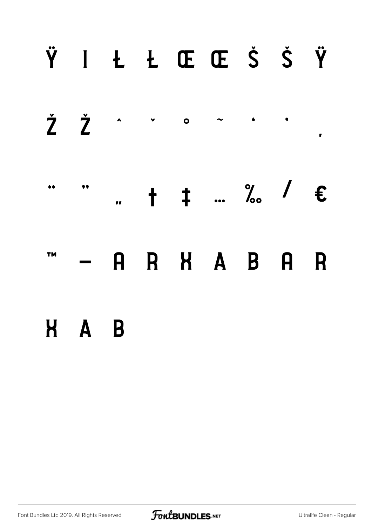#### Ÿ I Ł Ł Œ Œ Š Š Ÿ



**TM** 

R H A B A  $\mathbf{A}$ R

#### H A B

Font Bundles Ltd 2019. All Rights Reserved

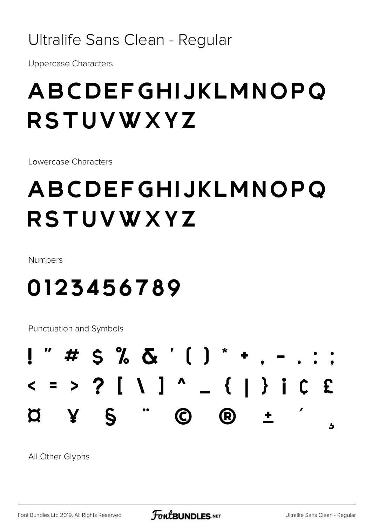#### Ultralife Sans Clean - Regular

**Uppercase Characters** 

#### ABCDEFGHIJKLMNOPQ **RSTUVWXYZ**

Lowercase Characters

#### ABCDEFGHIJKLMNOPO **RSTUVWXYZ**

Numbers

#### 0123456789

**Punctuation and Symbols** 

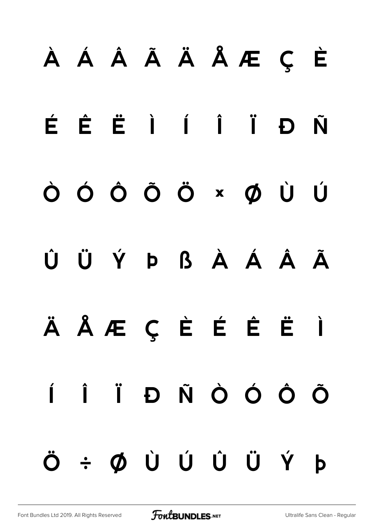## À Á Â Ã Ä Å Æ Ç È

É Ê Ë Ì Í Î Ï Ð Ñ

Ò Ó Ô Õ Ö × Ø Ù Ú

Û Ü Ý Þ ß à á â ã

ä å æ ç è é ê ë ì í î ï ð ñ ò ó ô õ ö ÷ ø ù ú û ü ý þ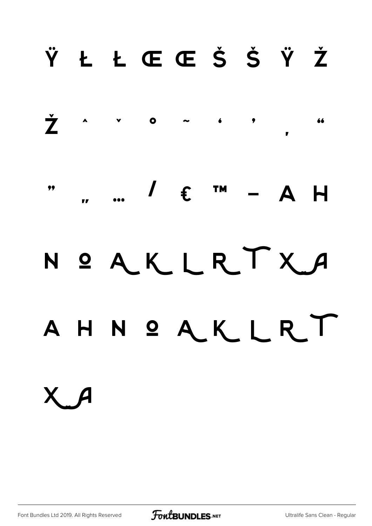#### ŸŁŁŒŒŠŠŸŽ



 $\int f$  im  $\overline{\mathbf{H}}$  $\Delta$ 

## NOAKLRTXA A H N O A K L R T

Х А

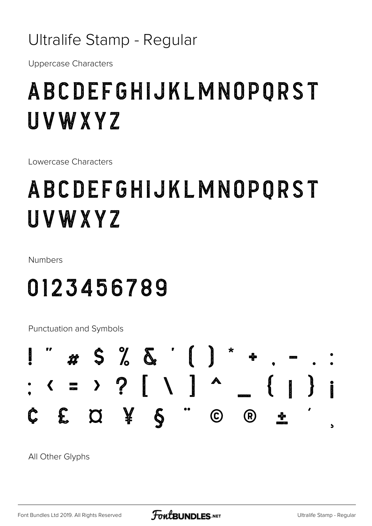#### Ultralife Stamp - Regular

**Uppercase Characters** 

#### ABCDEFGHIJKLMNOPQRST UVWXYZ

Lowercase Characters

### ABCDEFGHIJKLMNOPORST UVWXYZ

Numbers

#### 0123456789

Punctuation and Symbols

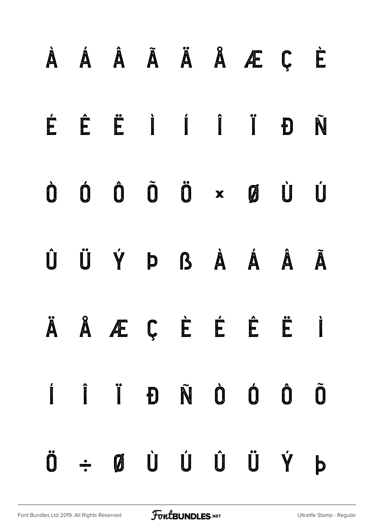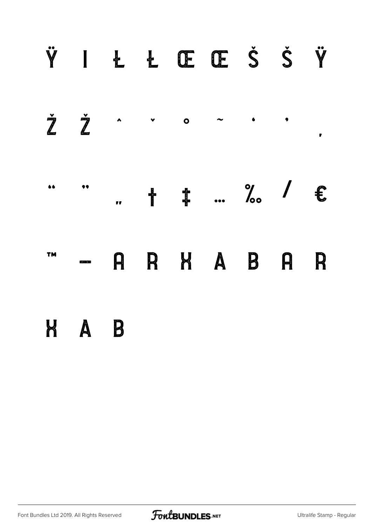#### ŸIŁŁŒŒŠŠŸ ŽŽ  $\blacktriangle$  $\bullet$  $\sim$  $\bullet$  $\blacktriangledown$  $\mathbf{r}$  $+$   $+$   $...$  % /  $\epsilon$ 66  $\bullet$  $\mathbf{r}$ R K A B **TM** A  $\boldsymbol{\mathsf{\Omega}}$ R H A B

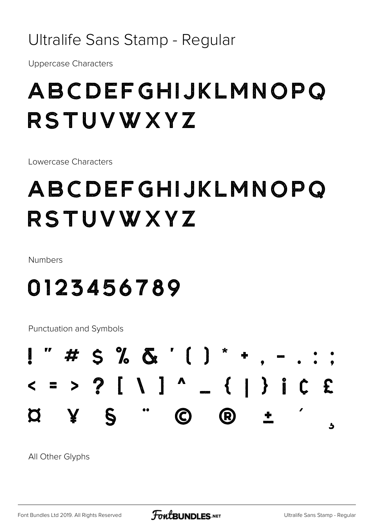#### Ultralife Sans Stamp - Regular

**Uppercase Characters** 

#### ABCDEFGHIJKLMNOPO RSTUVWXYZ

Lowercase Characters

#### ABCDEFGHIJKLMNOPO RSTUVWXYZ

Numbers

#### 0123456789

**Punctuation and Symbols** 



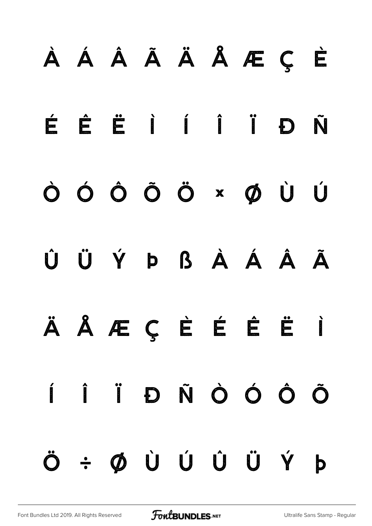# À Á Â Ã Ä Å Æ Ç È É Ê Ë Ì Í Î Ï Ð Ñ Ò Ó Ô Õ Ö × Ø Ù Ú Û Ü Ý Þ ß à á â ã ä å æ ç è é ê ë ì í î ï ð ñ ò ó ô õ ö ÷ ø ù ú û ü ý þ